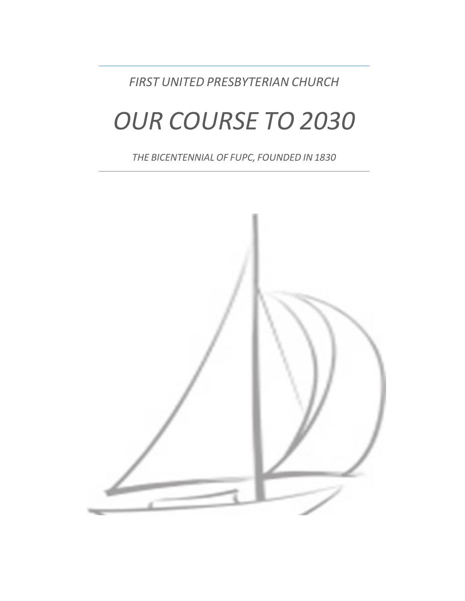*FIRST UNITED PRESBYTERIAN CHURCH*

 $\overline{a}$ 

# *OUR COURSE TO 2030*

*THE BICENTENNIAL OF FUPC, FOUNDED IN1830*

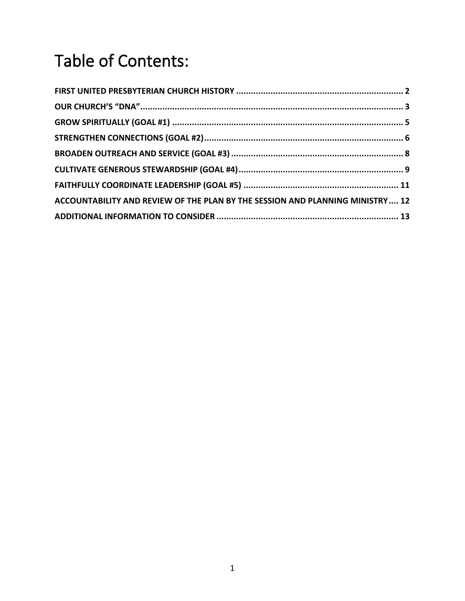# Table of Contents:

| ACCOUNTABILITY AND REVIEW OF THE PLAN BY THE SESSION AND PLANNING MINISTRY 12 |  |
|-------------------------------------------------------------------------------|--|
|                                                                               |  |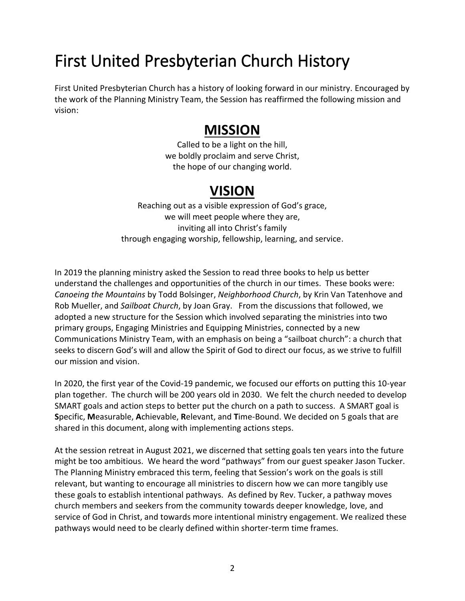### <span id="page-2-0"></span>First United Presbyterian Church History

First United Presbyterian Church has a history of looking forward in our ministry. Encouraged by the work of the Planning Ministry Team, the Session has reaffirmed the following mission and vision:

### **MISSION**

Called to be a light on the hill, we boldly proclaim and serve Christ, the hope of our changing world.

### **VISION**

Reaching out as a visible expression of God's grace, we will meet people where they are, inviting all into Christ's family through engaging worship, fellowship, learning, and service.

In 2019 the planning ministry asked the Session to read three books to help us better understand the challenges and opportunities of the church in our times. These books were: *Canoeing the Mountains* by Todd Bolsinger, *Neighborhood Church*, by Krin Van Tatenhove and Rob Mueller, and *Sailboat Church*, by Joan Gray. From the discussions that followed, we adopted a new structure for the Session which involved separating the ministries into two primary groups, Engaging Ministries and Equipping Ministries, connected by a new Communications Ministry Team, with an emphasis on being a "sailboat church": a church that seeks to discern God's will and allow the Spirit of God to direct our focus, as we strive to fulfill our mission and vision.

In 2020, the first year of the Covid-19 pandemic, we focused our efforts on putting this 10-year plan together. The church will be 200 years old in 2030. We felt the church needed to develop SMART goals and action steps to better put the church on a path to success. A SMART goal is **S**pecific, **M**easurable, **A**chievable, **R**elevant, and **T**ime-Bound. We decided on 5 goals that are shared in this document, along with implementing actions steps.

At the session retreat in August 2021, we discerned that setting goals ten years into the future might be too ambitious. We heard the word "pathways" from our guest speaker Jason Tucker. The Planning Ministry embraced this term, feeling that Session's work on the goals is still relevant, but wanting to encourage all ministries to discern how we can more tangibly use these goals to establish intentional pathways. As defined by Rev. Tucker, a pathway moves church members and seekers from the community towards deeper knowledge, love, and service of God in Christ, and towards more intentional ministry engagement. We realized these pathways would need to be clearly defined within shorter-term time frames.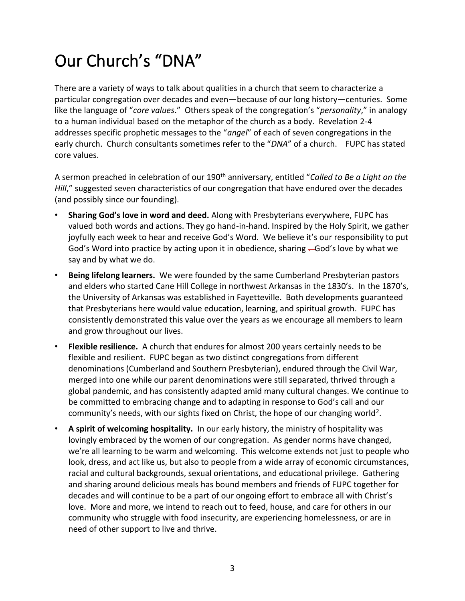### <span id="page-3-0"></span>Our Church's "DNA"

There are a variety of ways to talk about qualities in a church that seem to characterize a particular congregation over decades and even—because of our long history—centuries. Some like the language of "*core values*." Others speak of the congregation's "*personality*," in analogy to a human individual based on the metaphor of the church as a body. Revelation 2-4 addresses specific prophetic messages to the "*angel*" of each of seven congregations in the early church. Church consultants sometimes refer to the "*DNA*" of a church. FUPC has stated core values.

A sermon preached in celebration of our 190th anniversary, entitled "*Called to Be a Light on the Hill*," suggested seven characteristics of our congregation that have endured over the decades (and possibly since our founding).

- **Sharing God's love in word and deed.** Along with Presbyterians everywhere, FUPC has valued both words and actions. They go hand-in-hand. Inspired by the Holy Spirit, we gather joyfully each week to hear and receive God's Word. We believe it's our responsibility to put God's Word into practice by acting upon it in obedience, sharing  $-God's$  love by what we say and by what we do.
- **Being lifelong learners.** We were founded by the same Cumberland Presbyterian pastors and elders who started Cane Hill College in northwest Arkansas in the 1830's. In the 1870's, the University of Arkansas was established in Fayetteville. Both developments guaranteed that Presbyterians here would value education, learning, and spiritual growth. FUPC has consistently demonstrated this value over the years as we encourage all members to learn and grow throughout our lives.
- **Flexible resilience.** A church that endures for almost 200 years certainly needs to be flexible and resilient. FUPC began as two distinct congregations from different denominations (Cumberland and Southern Presbyterian), endured through the Civil War, merged into one while our parent denominations were still separated, thrived through a global pandemic, and has consistently adapted amid many cultural changes. We continue to be committed to embracing change and to adapting in response to God's call and our community's needs, with our sights fixed on Christ, the hope of our changing world<sup>2</sup>.
- **A spirit of welcoming hospitality.** In our early history, the ministry of hospitality was lovingly embraced by the women of our congregation. As gender norms have changed, we're all learning to be warm and welcoming. This welcome extends not just to people who look, dress, and act like us, but also to people from a wide array of economic circumstances, racial and cultural backgrounds, sexual orientations, and educational privilege. Gathering and sharing around delicious meals has bound members and friends of FUPC together for decades and will continue to be a part of our ongoing effort to embrace all with Christ's love. More and more, we intend to reach out to feed, house, and care for others in our community who struggle with food insecurity, are experiencing homelessness, or are in need of other support to live and thrive.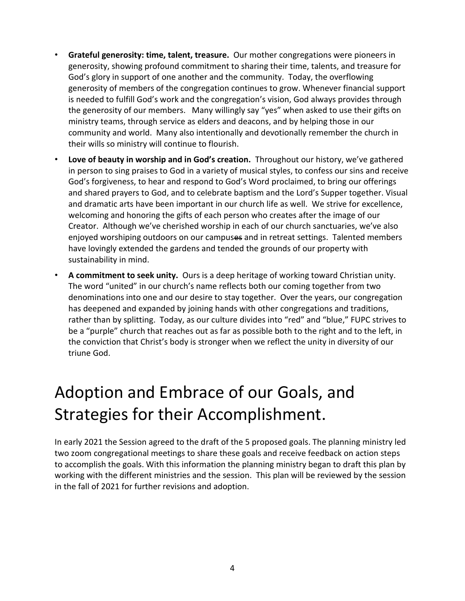- **Grateful generosity: time, talent, treasure.** Our mother congregations were pioneers in generosity, showing profound commitment to sharing their time, talents, and treasure for God's glory in support of one another and the community. Today, the overflowing generosity of members of the congregation continues to grow. Whenever financial support is needed to fulfill God's work and the congregation's vision, God always provides through the generosity of our members. Many willingly say "yes" when asked to use their gifts on ministry teams, through service as elders and deacons, and by helping those in our community and world. Many also intentionally and devotionally remember the church in their wills so ministry will continue to flourish.
- **Love of beauty in worship and in God's creation.** Throughout our history, we've gathered in person to sing praises to God in a variety of musical styles, to confess our sins and receive God's forgiveness, to hear and respond to God's Word proclaimed, to bring our offerings and shared prayers to God, and to celebrate baptism and the Lord's Supper together. Visual and dramatic arts have been important in our church life as well. We strive for excellence, welcoming and honoring the gifts of each person who creates after the image of our Creator. Although we've cherished worship in each of our church sanctuaries, we've also enjoyed worshiping outdoors on our campuses and in retreat settings. Talented members have lovingly extended the gardens and tended the grounds of our property with sustainability in mind.
- **A commitment to seek unity.** Ours is a deep heritage of working toward Christian unity. The word "united" in our church's name reflects both our coming together from two denominations into one and our desire to stay together. Over the years, our congregation has deepened and expanded by joining hands with other congregations and traditions, rather than by splitting. Today, as our culture divides into "red" and "blue," FUPC strives to be a "purple" church that reaches out as far as possible both to the right and to the left, in the conviction that Christ's body is stronger when we reflect the unity in diversity of our triune God.

### Adoption and Embrace of our Goals, and Strategies for their Accomplishment.

In early 2021 the Session agreed to the draft of the 5 proposed goals. The planning ministry led two zoom congregational meetings to share these goals and receive feedback on action steps to accomplish the goals. With this information the planning ministry began to draft this plan by working with the different ministries and the session. This plan will be reviewed by the session in the fall of 2021 for further revisions and adoption.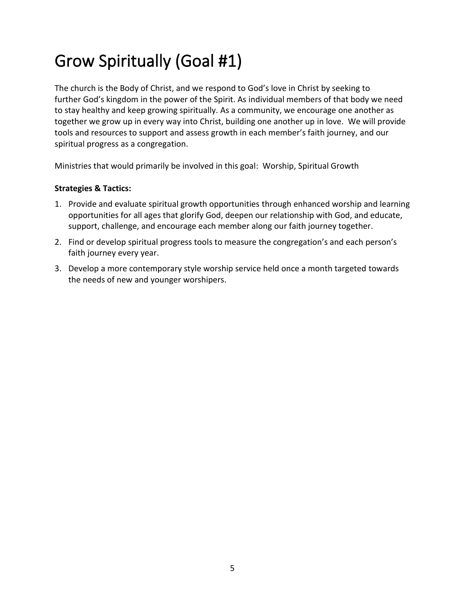### <span id="page-5-0"></span>Grow Spiritually (Goal #1)

The church is the Body of Christ, and we respond to God's love in Christ by seeking to further God's kingdom in the power of the Spirit. As individual members of that body we need to stay healthy and keep growing spiritually. As a community, we encourage one another as together we grow up in every way into Christ, building one another up in love. We will provide tools and resources to support and assess growth in each member's faith journey, and our spiritual progress as a congregation.

Ministries that would primarily be involved in this goal: Worship, Spiritual Growth

- 1. Provide and evaluate spiritual growth opportunities through enhanced worship and learning opportunities for all ages that glorify God, deepen our relationship with God, and educate, support, challenge, and encourage each member along our faith journey together.
- 2. Find or develop spiritual progress tools to measure the congregation's and each person's faith journey every year.
- 3. Develop a more contemporary style worship service held once a month targeted towards the needs of new and younger worshipers.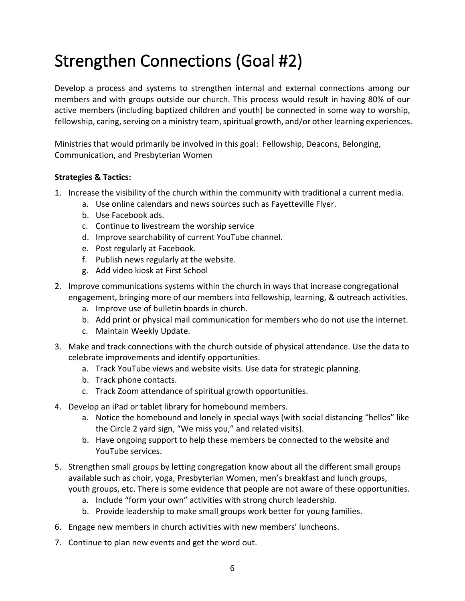### <span id="page-6-0"></span>Strengthen Connections (Goal #2)

Develop a process and systems to strengthen internal and external connections among our members and with groups outside our church. This process would result in having 80% of our active members (including baptized children and youth) be connected in some way to worship, fellowship, caring, serving on a ministry team, spiritual growth, and/or other learning experiences.

Ministries that would primarily be involved in this goal: Fellowship, Deacons, Belonging, Communication, and Presbyterian Women

- 1. Increase the visibility of the church within the community with traditional a current media.
	- a. Use online calendars and news sources such as Fayetteville Flyer.
	- b. Use Facebook ads.
	- c. Continue to livestream the worship service
	- d. Improve searchability of current YouTube channel.
	- e. Post regularly at Facebook.
	- f. Publish news regularly at the website.
	- g. Add video kiosk at First School
- 2. Improve communications systems within the church in ways that increase congregational engagement, bringing more of our members into fellowship, learning, & outreach activities.
	- a. Improve use of bulletin boards in church.
	- b. Add print or physical mail communication for members who do not use the internet.
	- c. Maintain Weekly Update.
- 3. Make and track connections with the church outside of physical attendance. Use the data to celebrate improvements and identify opportunities.
	- a. Track YouTube views and website visits. Use data for strategic planning.
	- b. Track phone contacts.
	- c. Track Zoom attendance of spiritual growth opportunities.
- 4. Develop an iPad or tablet library for homebound members.
	- a. Notice the homebound and lonely in special ways (with social distancing "hellos" like the Circle 2 yard sign, "We miss you," and related visits).
	- b. Have ongoing support to help these members be connected to the website and YouTube services.
- 5. Strengthen small groups by letting congregation know about all the different small groups available such as choir, yoga, Presbyterian Women, men's breakfast and lunch groups, youth groups, etc. There is some evidence that people are not aware of these opportunities.
	- a. Include "form your own" activities with strong church leadership.
	- b. Provide leadership to make small groups work better for young families.
- 6. Engage new members in church activities with new members' luncheons.
- 7. Continue to plan new events and get the word out.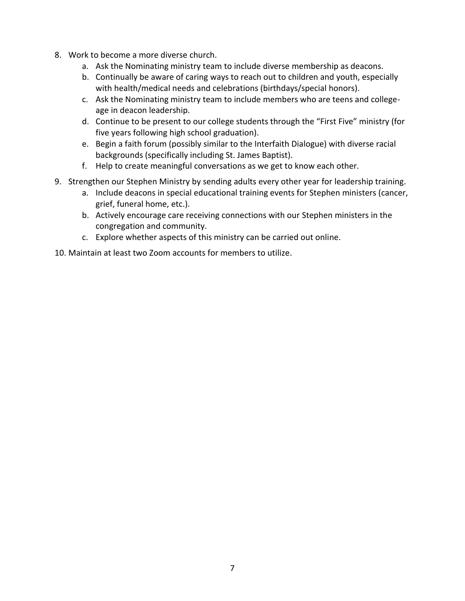- 8. Work to become a more diverse church.
	- a. Ask the Nominating ministry team to include diverse membership as deacons.
	- b. Continually be aware of caring ways to reach out to children and youth, especially with health/medical needs and celebrations (birthdays/special honors).
	- c. Ask the Nominating ministry team to include members who are teens and collegeage in deacon leadership.
	- d. Continue to be present to our college students through the "First Five" ministry (for five years following high school graduation).
	- e. Begin a faith forum (possibly similar to the Interfaith Dialogue) with diverse racial backgrounds (specifically including St. James Baptist).
	- f. Help to create meaningful conversations as we get to know each other.
- 9. Strengthen our Stephen Ministry by sending adults every other year for leadership training.
	- a. Include deacons in special educational training events for Stephen ministers (cancer, grief, funeral home, etc.).
	- b. Actively encourage care receiving connections with our Stephen ministers in the congregation and community.
	- c. Explore whether aspects of this ministry can be carried out online.
- 10. Maintain at least two Zoom accounts for members to utilize.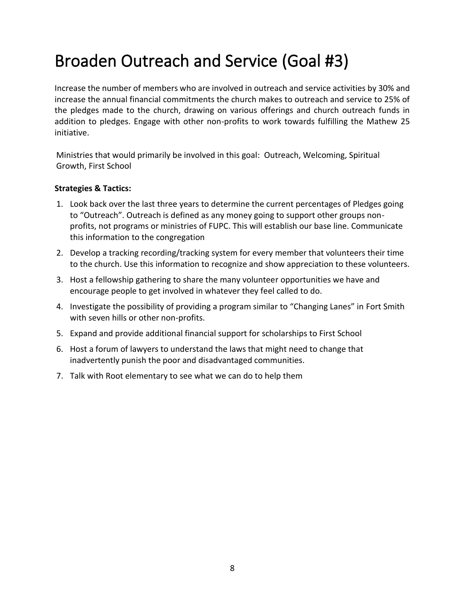### <span id="page-8-0"></span>Broaden Outreach and Service (Goal #3)

Increase the number of members who are involved in outreach and service activities by 30% and increase the annual financial commitments the church makes to outreach and service to 25% of the pledges made to the church, drawing on various offerings and church outreach funds in addition to pledges. Engage with other non-profits to work towards fulfilling the Mathew 25 initiative.

Ministries that would primarily be involved in this goal: Outreach, Welcoming, Spiritual Growth, First School

- 1. Look back over the last three years to determine the current percentages of Pledges going to "Outreach". Outreach is defined as any money going to support other groups nonprofits, not programs or ministries of FUPC. This will establish our base line. Communicate this information to the congregation
- 2. Develop a tracking recording/tracking system for every member that volunteers their time to the church. Use this information to recognize and show appreciation to these volunteers.
- 3. Host a fellowship gathering to share the many volunteer opportunities we have and encourage people to get involved in whatever they feel called to do.
- 4. Investigate the possibility of providing a program similar to "Changing Lanes" in Fort Smith with seven hills or other non-profits.
- 5. Expand and provide additional financial support for scholarships to First School
- 6. Host a forum of lawyers to understand the laws that might need to change that inadvertently punish the poor and disadvantaged communities.
- 7. Talk with Root elementary to see what we can do to help them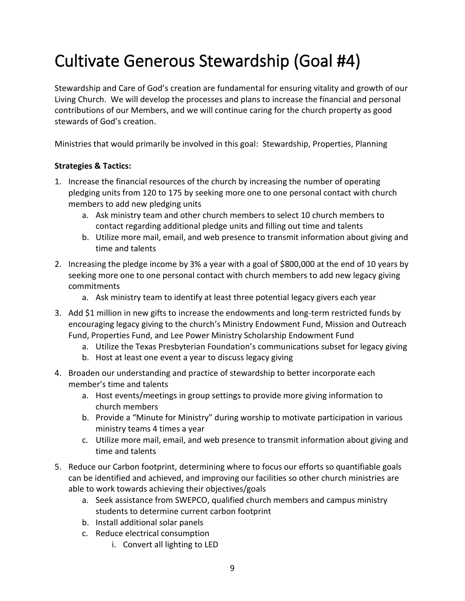### <span id="page-9-0"></span>Cultivate Generous Stewardship (Goal #4)

Stewardship and Care of God's creation are fundamental for ensuring vitality and growth of our Living Church. We will develop the processes and plans to increase the financial and personal contributions of our Members, and we will continue caring for the church property as good stewards of God's creation.

Ministries that would primarily be involved in this goal: Stewardship, Properties, Planning

- 1. Increase the financial resources of the church by increasing the number of operating pledging units from 120 to 175 by seeking more one to one personal contact with church members to add new pledging units
	- a. Ask ministry team and other church members to select 10 church members to contact regarding additional pledge units and filling out time and talents
	- b. Utilize more mail, email, and web presence to transmit information about giving and time and talents
- 2. Increasing the pledge income by 3% a year with a goal of \$800,000 at the end of 10 years by seeking more one to one personal contact with church members to add new legacy giving commitments
	- a. Ask ministry team to identify at least three potential legacy givers each year
- 3. Add \$1 million in new gifts to increase the endowments and long-term restricted funds by encouraging legacy giving to the church's Ministry Endowment Fund, Mission and Outreach Fund, Properties Fund, and Lee Power Ministry Scholarship Endowment Fund
	- a. Utilize the Texas Presbyterian Foundation's communications subset for legacy giving
	- b. Host at least one event a year to discuss legacy giving
- 4. Broaden our understanding and practice of stewardship to better incorporate each member's time and talents
	- a. Host events/meetings in group settings to provide more giving information to church members
	- b. Provide a "Minute for Ministry" during worship to motivate participation in various ministry teams 4 times a year
	- c. Utilize more mail, email, and web presence to transmit information about giving and time and talents
- 5. Reduce our Carbon footprint, determining where to focus our efforts so quantifiable goals can be identified and achieved, and improving our facilities so other church ministries are able to work towards achieving their objectives/goals
	- a. Seek assistance from SWEPCO, qualified church members and campus ministry students to determine current carbon footprint
	- b. Install additional solar panels
	- c. Reduce electrical consumption
		- i. Convert all lighting to LED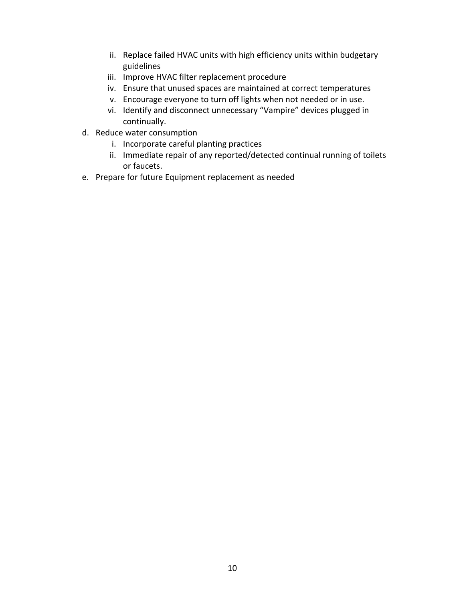- ii. Replace failed HVAC units with high efficiency units within budgetary guidelines
- iii. Improve HVAC filter replacement procedure
- iv. Ensure that unused spaces are maintained at correct temperatures
- v. Encourage everyone to turn off lights when not needed or in use.
- vi. Identify and disconnect unnecessary "Vampire" devices plugged in continually.
- d. Reduce water consumption
	- i. Incorporate careful planting practices
	- ii. Immediate repair of any reported/detected continual running of toilets or faucets.
- e. Prepare for future Equipment replacement as needed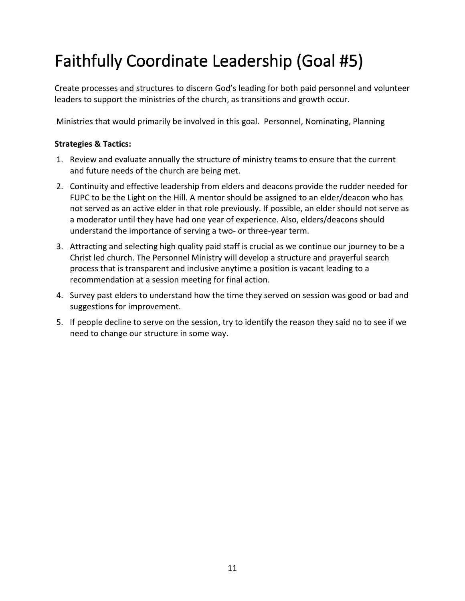# <span id="page-11-0"></span>Faithfully Coordinate Leadership (Goal #5)

Create processes and structures to discern God's leading for both paid personnel and volunteer leaders to support the ministries of the church, as transitions and growth occur.

Ministries that would primarily be involved in this goal. Personnel, Nominating, Planning

- 1. Review and evaluate annually the structure of ministry teams to ensure that the current and future needs of the church are being met.
- 2. Continuity and effective leadership from elders and deacons provide the rudder needed for FUPC to be the Light on the Hill. A mentor should be assigned to an elder/deacon who has not served as an active elder in that role previously. If possible, an elder should not serve as a moderator until they have had one year of experience. Also, elders/deacons should understand the importance of serving a two- or three-year term.
- 3. Attracting and selecting high quality paid staff is crucial as we continue our journey to be a Christ led church. The Personnel Ministry will develop a structure and prayerful search process that is transparent and inclusive anytime a position is vacant leading to a recommendation at a session meeting for final action.
- 4. Survey past elders to understand how the time they served on session was good or bad and suggestions for improvement.
- 5. If people decline to serve on the session, try to identify the reason they said no to see if we need to change our structure in some way.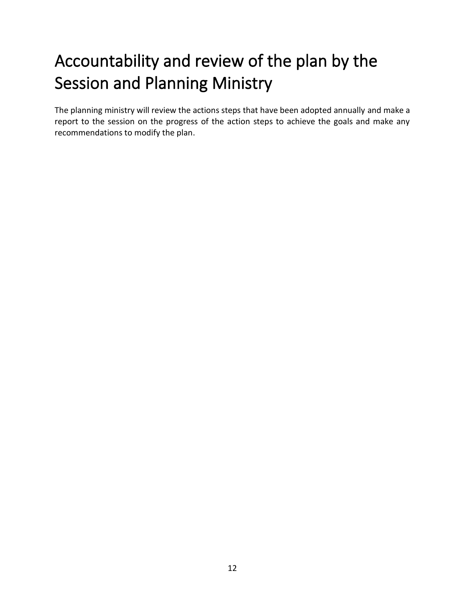### <span id="page-12-0"></span>Accountability and review of the plan by the Session and Planning Ministry

The planning ministry will review the actions steps that have been adopted annually and make a report to the session on the progress of the action steps to achieve the goals and make any recommendations to modify the plan.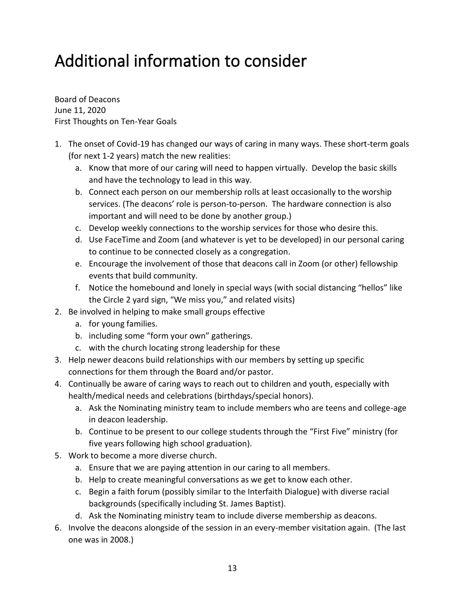### <span id="page-13-0"></span>Additional information to consider

Board of Deacons June 11, 2020 First Thoughts on Ten-Year Goals

- 1. The onset of Covid-19 has changed our ways of caring in many ways. These short-term goals (for next 1-2 years) match the new realities:
	- a. Know that more of our caring will need to happen virtually. Develop the basic skills and have the technology to lead in this way.
	- b. Connect each person on our membership rolls at least occasionally to the worship services. (The deacons' role is person-to-person. The hardware connection is also important and will need to be done by another group.)
	- c. Develop weekly connections to the worship services for those who desire this.
	- d. Use FaceTime and Zoom (and whatever is yet to be developed) in our personal caring to continue to be connected closely as a congregation.
	- e. Encourage the involvement of those that deacons call in Zoom (or other) fellowship events that build community.
	- f. Notice the homebound and lonely in special ways (with social distancing "hellos" like the Circle 2 yard sign, "We miss you," and related visits)
- 2. Be involved in helping to make small groups effective
	- a. for young families.
	- b. including some "form your own" gatherings.
	- c. with the church locating strong leadership for these
- 3. Help newer deacons build relationships with our members by setting up specific connections for them through the Board and/or pastor.
- 4. Continually be aware of caring ways to reach out to children and youth, especially with health/medical needs and celebrations (birthdays/special honors).
	- a. Ask the Nominating ministry team to include members who are teens and college-age in deacon leadership.
	- b. Continue to be present to our college students through the "First Five" ministry (for five years following high school graduation).
- 5. Work to become a more diverse church.
	- a. Ensure that we are paying attention in our caring to all members.
	- b. Help to create meaningful conversations as we get to know each other.
	- c. Begin a faith forum (possibly similar to the Interfaith Dialogue) with diverse racial backgrounds (specifically including St. James Baptist).
	- d. Ask the Nominating ministry team to include diverse membership as deacons.
- 6. Involve the deacons alongside of the session in an every-member visitation again. (The last one was in 2008.)